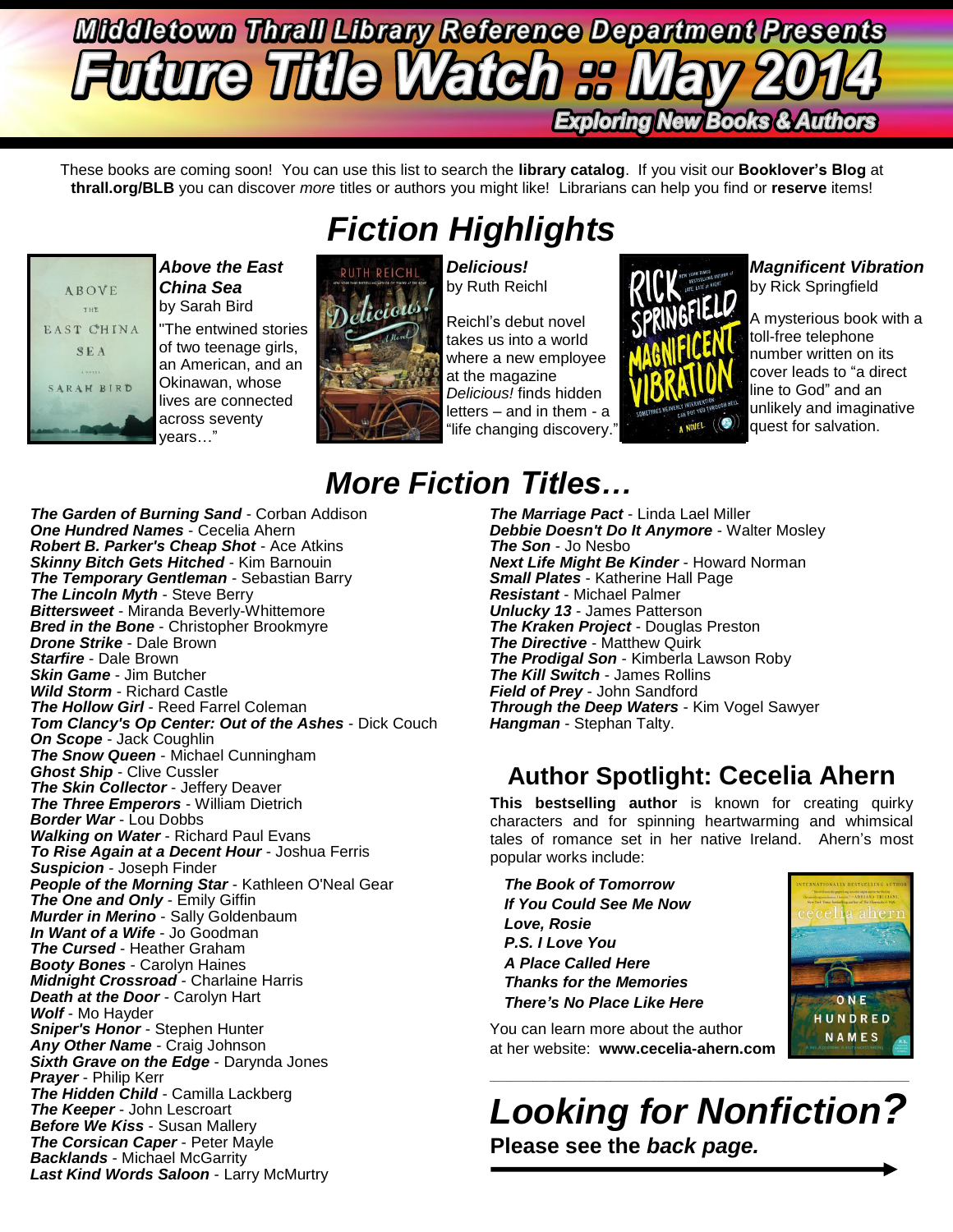# **Middletown Thrall Library Reference Department Presents fure Title Watch :: Exploring New Books & Authors**

These books are coming soon! You can use this list to search the **library catalog**. If you visit our **Booklover's Blog** at **thrall.org/BLB** you can discover *more* titles or authors you might like! Librarians can help you find or **reserve** items!

*Fiction Highlights*



*Above the East China Sea* by Sarah Bird

"The entwined stories of two teenage girls, an American, and an Okinawan, whose lives are connected across seventy years…"



*Delicious!* by Ruth Reichl

Reichl's debut novel takes us into a world where a new employee at the magazine *Delicious!* finds hidden letters – and in them - a "life changing discovery."



*Magnificent Vibration* by Rick Springfield

A mysterious book with a toll-free telephone number written on its cover leads to "a direct line to God" and an unlikely and imaginative quest for salvation.

# *More Fiction Titles…*

*The Garden of Burning Sand* - Corban Addison *One Hundred Names* - Cecelia Ahern *Robert B. Parker's Cheap Shot* - Ace Atkins *Skinny Bitch Gets Hitched* - Kim Barnouin **The Temporary Gentleman - Sebastian Barry** *The Lincoln Myth* - Steve Berry *Bittersweet* - Miranda Beverly-Whittemore *Bred in the Bone* - Christopher Brookmyre *Drone Strike* - Dale Brown *Starfire* - Dale Brown *Skin Game* - Jim Butcher *Wild Storm* - Richard Castle *The Hollow Girl* - Reed Farrel Coleman *Tom Clancy's Op Center: Out of the Ashes* - Dick Couch *On Scope* - Jack Coughlin *The Snow Queen* - Michael Cunningham *Ghost Ship* - Clive Cussler *The Skin Collector* - Jeffery Deaver *The Three Emperors* - William Dietrich *Border War* - Lou Dobbs *Walking on Water* - Richard Paul Evans *To Rise Again at a Decent Hour* - Joshua Ferris *Suspicion* - Joseph Finder *People of the Morning Star* - Kathleen O'Neal Gear *The One and Only* - Emily Giffin *Murder in Merino* - Sally Goldenbaum *In Want of a Wife* - Jo Goodman *The Cursed* - Heather Graham *Booty Bones* - Carolyn Haines *Midnight Crossroad* - Charlaine Harris *Death at the Door* - Carolyn Hart *Wolf* - Mo Hayder *Sniper's Honor* - Stephen Hunter *Any Other Name* - Craig Johnson *Sixth Grave on the Edge* - Darynda Jones *Prayer* - Philip Kerr *The Hidden Child* - Camilla Lackberg *The Keeper* - John Lescroart *Before We Kiss* - Susan Mallery *The Corsican Caper* - Peter Mayle *Backlands* - Michael McGarrity *Last Kind Words Saloon* - Larry McMurtry

*The Marriage Pact* - Linda Lael Miller *Debbie Doesn't Do It Anymore* - Walter Mosley *The Son* - Jo Nesbo *Next Life Might Be Kinder* - Howard Norman *Small Plates* - Katherine Hall Page *Resistant* - Michael Palmer *Unlucky 13* - James Patterson *The Kraken Project* - Douglas Preston **The Directive** - Matthew Quirk *The Prodigal Son* - Kimberla Lawson Roby *The Kill Switch* - James Rollins *Field of Prey* - John Sandford *Through the Deep Waters* - Kim Vogel Sawyer

*Hangman* - Stephan Talty.

### **Author Spotlight: Cecelia Ahern**

**This bestselling author** is known for creating quirky characters and for spinning heartwarming and whimsical tales of romance set in her native Ireland. Ahern's most popular works include:

*The Book of Tomorrow If You Could See Me Now Love, Rosie P.S. I Love You A Place Called Here Thanks for the Memories There's No Place Like Here*



You can learn more about the author at her website: **www.cecelia-ahern.com**

*Looking for Nonfiction?* **Please see the** *back page.*

 $\_$  ,  $\_$  ,  $\_$  ,  $\_$  ,  $\_$  ,  $\_$  ,  $\_$  ,  $\_$  ,  $\_$  ,  $\_$  ,  $\_$  ,  $\_$  ,  $\_$  ,  $\_$  ,  $\_$  ,  $\_$  ,  $\_$  ,  $\_$  ,  $\_$  ,  $\_$  ,  $\_$  ,  $\_$  ,  $\_$  ,  $\_$  ,  $\_$  ,  $\_$  ,  $\_$  ,  $\_$  ,  $\_$  ,  $\_$  ,  $\_$  ,  $\_$  ,  $\_$  ,  $\_$  ,  $\_$  ,  $\_$  ,  $\_$  ,